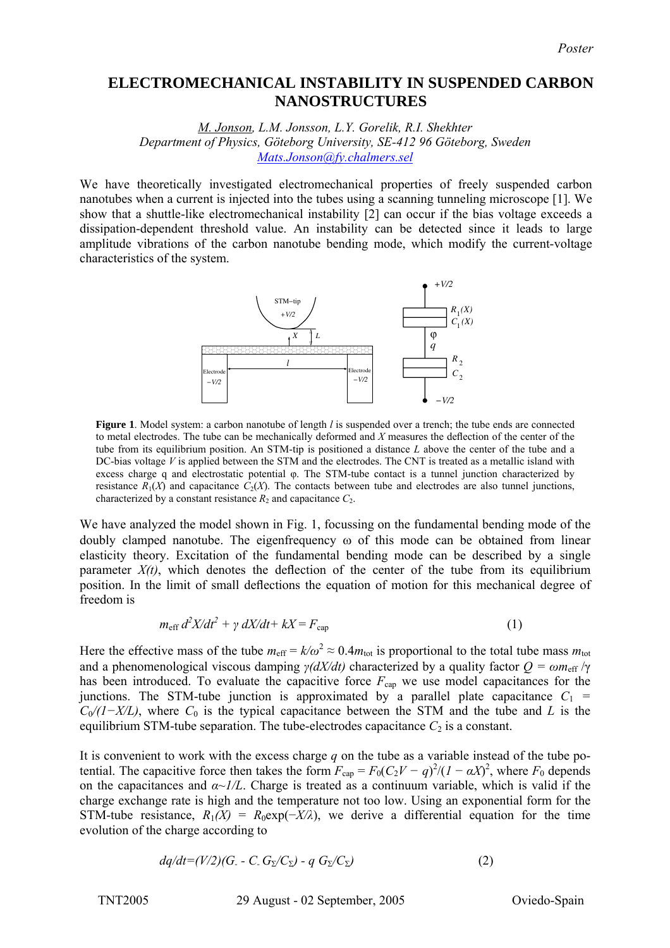## **ELECTROMECHANICAL INSTABILITY IN SUSPENDED CARBON NANOSTRUCTURES**

*M. Jonson, L.M. Jonsson, L.Y. Gorelik, R.I. Shekhter Department of Physics, Göteborg University, SE-412 96 Göteborg, Sweden [Mats.Jonson@fy.chalmers.sel](mailto:Mats.Jonson@fy.chalmers.sel)*

We have theoretically investigated electromechanical properties of freely suspended carbon nanotubes when a current is injected into the tubes using a scanning tunneling microscope [1]. We show that a shuttle-like electromechanical instability [2] can occur if the bias voltage exceeds a dissipation-dependent threshold value. An instability can be detected since it leads to large amplitude vibrations of the carbon nanotube bending mode, which modify the current-voltage characteristics of the system.



**Figure 1**. Model system: a carbon nanotube of length *l* is suspended over a trench; the tube ends are connected to metal electrodes. The tube can be mechanically deformed and *X* measures the deflection of the center of the tube from its equilibrium position. An STM-tip is positioned a distance *L* above the center of the tube and a DC-bias voltage *V* is applied between the STM and the electrodes. The CNT is treated as a metallic island with excess charge q and electrostatic potential φ. The STM-tube contact is a tunnel junction characterized by resistance  $R_1(X)$  and capacitance  $C_2(X)$ . The contacts between tube and electrodes are also tunnel junctions, characterized by a constant resistance  $R_2$  and capacitance  $C_2$ .

We have analyzed the model shown in Fig. 1, focussing on the fundamental bending mode of the doubly clamped nanotube. The eigenfrequency ω of this mode can be obtained from linear elasticity theory. Excitation of the fundamental bending mode can be described by a single parameter  $X(t)$ , which denotes the deflection of the center of the tube from its equilibrium position. In the limit of small deflections the equation of motion for this mechanical degree of freedom is

$$
m_{\rm eff} d^2 X/dt^2 + \gamma dX/dt + kX = F_{\rm cap} \tag{1}
$$

Here the effective mass of the tube  $m_{\text{eff}} = k/\omega^2 \approx 0.4 m_{\text{tot}}$  is proportional to the total tube mass  $m_{\text{tot}}$ and a phenomenological viscous damping  $\gamma$ *(dX/dt)* characterized by a quality factor  $Q = \omega m_{\text{eff}} / \gamma$ has been introduced. To evaluate the capacitive force  $F_{cap}$  we use model capacitances for the junctions. The STM-tube junction is approximated by a parallel plate capacitance  $C_1$  = *C*<sub>0</sub>/(1−*X*/*L*), where *C*<sub>0</sub> is the typical capacitance between the STM and the tube and *L* is the equilibrium STM-tube separation. The tube-electrodes capacitance  $C_2$  is a constant.

It is convenient to work with the excess charge *q* on the tube as a variable instead of the tube potential. The capacitive force then takes the form  $F_{\text{cap}} = F_0(C_2V - q)^2/(1 - \alpha X)^2$ , where  $F_0$  depends on the capacitances and  $\alpha \sim l/L$ . Charge is treated as a continuum variable, which is valid if the charge exchange rate is high and the temperature not too low. Using an exponential form for the STM-tube resistance,  $R_1(X) = R_0 \exp(-X/\lambda)$ , we derive a differential equation for the time evolution of the charge according to

$$
dq/dt = (V/2)(G - C \cdot G_{\Sigma}/C_{\Sigma}) - q G_{\Sigma}/C_{\Sigma})
$$
\n
$$
(2)
$$